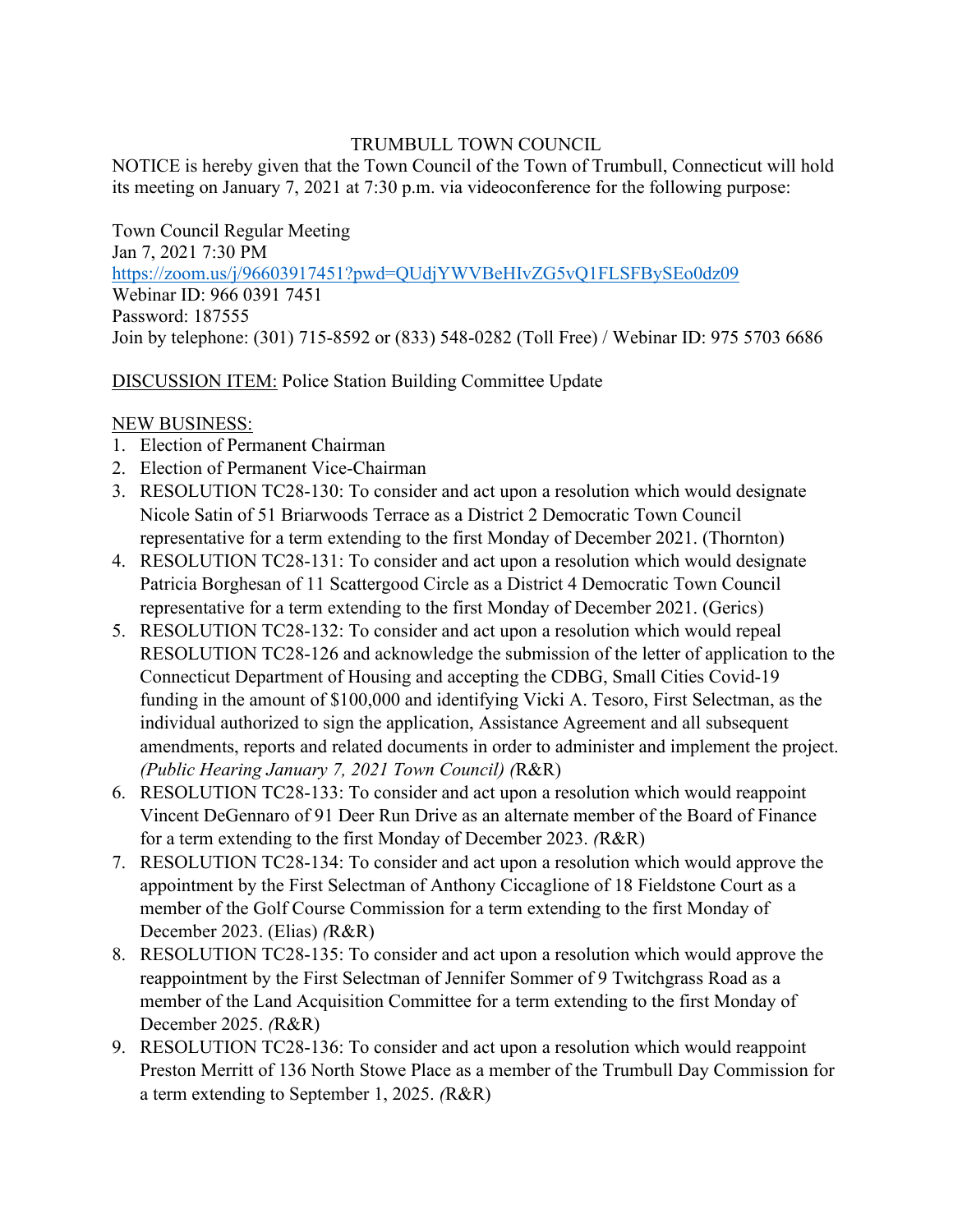## TRUMBULL TOWN COUNCIL

NOTICE is hereby given that the Town Council of the Town of Trumbull, Connecticut will hold its meeting on January 7, 2021 at 7:30 p.m. via videoconference for the following purpose:

Town Council Regular Meeting Jan 7, 2021 7:30 PM <https://zoom.us/j/96603917451?pwd=QUdjYWVBeHIvZG5vQ1FLSFBySEo0dz09> Webinar ID: 966 0391 7451 Password: 187555 Join by telephone: (301) 715-8592 or (833) 548-0282 (Toll Free) / Webinar ID: 975 5703 6686

DISCUSSION ITEM: Police Station Building Committee Update

## NEW BUSINESS:

- 1. Election of Permanent Chairman
- 2. Election of Permanent Vice-Chairman
- 3. RESOLUTION TC28-130: To consider and act upon a resolution which would designate Nicole Satin of 51 Briarwoods Terrace as a District 2 Democratic Town Council representative for a term extending to the first Monday of December 2021. (Thornton)
- 4. RESOLUTION TC28-131: To consider and act upon a resolution which would designate Patricia Borghesan of 11 Scattergood Circle as a District 4 Democratic Town Council representative for a term extending to the first Monday of December 2021. (Gerics)
- 5. RESOLUTION TC28-132: To consider and act upon a resolution which would repeal RESOLUTION TC28-126 and acknowledge the submission of the letter of application to the Connecticut Department of Housing and accepting the CDBG, Small Cities Covid-19 funding in the amount of \$100,000 and identifying Vicki A. Tesoro, First Selectman, as the individual authorized to sign the application, Assistance Agreement and all subsequent amendments, reports and related documents in order to administer and implement the project. *(Public Hearing January 7, 2021 Town Council) (*R&R)
- 6. RESOLUTION TC28-133: To consider and act upon a resolution which would reappoint Vincent DeGennaro of 91 Deer Run Drive as an alternate member of the Board of Finance for a term extending to the first Monday of December 2023. *(*R&R)
- 7. RESOLUTION TC28-134: To consider and act upon a resolution which would approve the appointment by the First Selectman of Anthony Ciccaglione of 18 Fieldstone Court as a member of the Golf Course Commission for a term extending to the first Monday of December 2023. (Elias) *(*R&R)
- 8. RESOLUTION TC28-135: To consider and act upon a resolution which would approve the reappointment by the First Selectman of Jennifer Sommer of 9 Twitchgrass Road as a member of the Land Acquisition Committee for a term extending to the first Monday of December 2025. *(*R&R)
- 9. RESOLUTION TC28-136: To consider and act upon a resolution which would reappoint Preston Merritt of 136 North Stowe Place as a member of the Trumbull Day Commission for a term extending to September 1, 2025. *(*R&R)